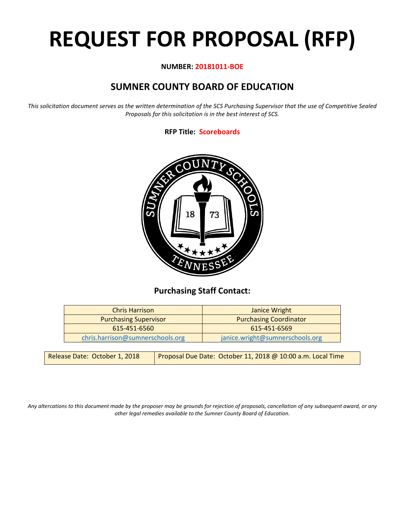# **REQUEST FOR PROPOSAL (RFP)**

#### **NUMBER: 20181011-BOE**

# **SUMNER COUNTY BOARD OF EDUCATION**

*This solicitation document serves as the written determination of the SCS Purchasing Supervisor that the use of Competitive Sealed Proposals for this solicitation is in the best interest of SCS.*

## **RFP Title: Scoreboards**



## **Purchasing Staff Contact:**

| <b>Chris Harrison</b>            | Janice Wright                   |
|----------------------------------|---------------------------------|
| <b>Purchasing Supervisor</b>     | <b>Purchasing Coordinator</b>   |
| 615-451-6560                     | 615-451-6569                    |
| chris.harrison@sumnerschools.org | janice.wright@sumnerschools.org |

| Release Date: October 1, 2018 | Proposal Due Date: October 11, 2018 @ 10:00 a.m. Local Time |
|-------------------------------|-------------------------------------------------------------|
|                               |                                                             |

*Any altercations to this document made by the proposer may be grounds for rejection of proposals, cancellation of any subsequent award, or any other legal remedies available to the Sumner County Board of Education.*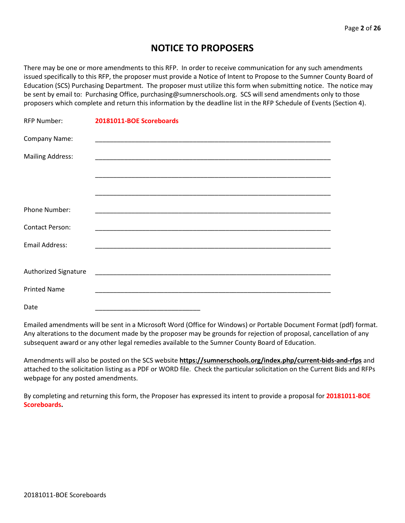## **NOTICE TO PROPOSERS**

There may be one or more amendments to this RFP. In order to receive communication for any such amendments issued specifically to this RFP, the proposer must provide a Notice of Intent to Propose to the Sumner County Board of Education (SCS) Purchasing Department. The proposer must utilize this form when submitting notice. The notice may be sent by email to: Purchasing Office, purchasing@sumnerschools.org. SCS will send amendments only to those proposers which complete and return this information by the deadline list in the RFP Schedule of Events (Section 4).

| <b>RFP Number:</b>      | 20181011-BOE Scoreboards |
|-------------------------|--------------------------|
| Company Name:           |                          |
| <b>Mailing Address:</b> |                          |
|                         |                          |
|                         |                          |
| Phone Number:           |                          |
| <b>Contact Person:</b>  |                          |
| <b>Email Address:</b>   |                          |
| Authorized Signature    |                          |
|                         |                          |
| <b>Printed Name</b>     |                          |
| Date                    |                          |

Emailed amendments will be sent in a Microsoft Word (Office for Windows) or Portable Document Format (pdf) format. Any alterations to the document made by the proposer may be grounds for rejection of proposal, cancellation of any subsequent award or any other legal remedies available to the Sumner County Board of Education.

Amendments will also be posted on the SCS website **https://sumnerschools.org/index.php/current-bids-and-rfps** and attached to the solicitation listing as a PDF or WORD file. Check the particular solicitation on the Current Bids and RFPs webpage for any posted amendments.

By completing and returning this form, the Proposer has expressed its intent to provide a proposal for **20181011-BOE Scoreboards.**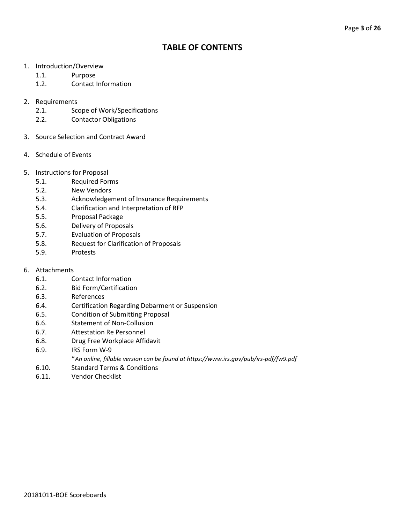## **TABLE OF CONTENTS**

- 1. Introduction/Overview
	- 1.1. Purpose
	- 1.2. Contact Information
- 2. Requirements
	- 2.1. Scope of Work/Specifications
	- 2.2. Contactor Obligations
- 3. Source Selection and Contract Award
- 4. Schedule of Events
- 5. Instructions for Proposal
	- 5.1. Required Forms
	- 5.2. New Vendors
	- 5.3. Acknowledgement of Insurance Requirements
	- 5.4. Clarification and Interpretation of RFP
	- 5.5. Proposal Package
	- 5.6. Delivery of Proposals
	- 5.7. Evaluation of Proposals
	- 5.8. Request for Clarification of Proposals
	- 5.9. Protests
- 6. Attachments
	- 6.1. Contact Information
	- 6.2. Bid Form/Certification
	- 6.3. References
	- 6.4. Certification Regarding Debarment or Suspension
	- 6.5. Condition of Submitting Proposal
	- 6.6. Statement of Non-Collusion
	- 6.7. Attestation Re Personnel
	- 6.8. Drug Free Workplace Affidavit
	- 6.9. IRS Form W-9
		- \**An online, fillable version can be found at https://www.irs.gov/pub/irs-pdf/fw9.pdf*
	- 6.10. Standard Terms & Conditions
	- 6.11. Vendor Checklist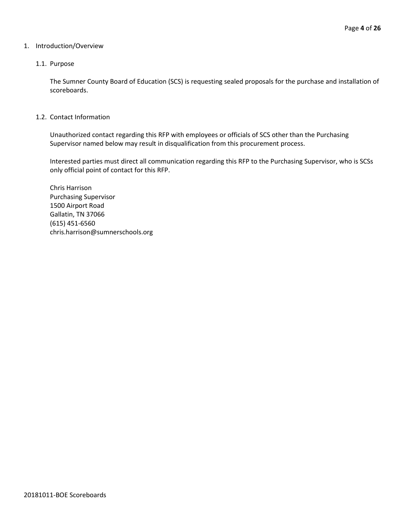#### 1. Introduction/Overview

#### 1.1. Purpose

The Sumner County Board of Education (SCS) is requesting sealed proposals for the purchase and installation of scoreboards.

#### 1.2. Contact Information

Unauthorized contact regarding this RFP with employees or officials of SCS other than the Purchasing Supervisor named below may result in disqualification from this procurement process.

Interested parties must direct all communication regarding this RFP to the Purchasing Supervisor, who is SCSs only official point of contact for this RFP.

Chris Harrison Purchasing Supervisor 1500 Airport Road Gallatin, TN 37066 (615) 451-6560 chris.harrison@sumnerschools.org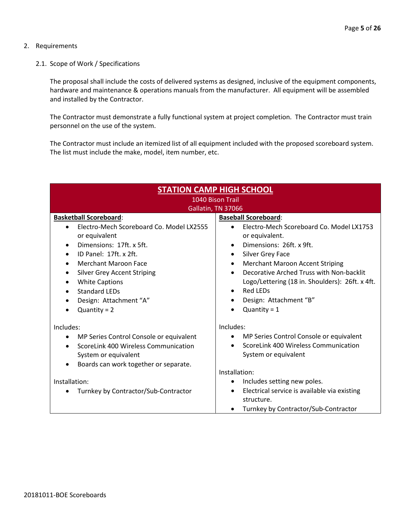#### 2. Requirements

2.1. Scope of Work / Specifications

The proposal shall include the costs of delivered systems as designed, inclusive of the equipment components, hardware and maintenance & operations manuals from the manufacturer. All equipment will be assembled and installed by the Contractor.

The Contractor must demonstrate a fully functional system at project completion. The Contractor must train personnel on the use of the system.

The Contractor must include an itemized list of all equipment included with the proposed scoreboard system. The list must include the make, model, item number, etc.

| <b>STATION CAMP HIGH SCHOOL</b>                                                                                                                                                                                                                                          |                                                                                                                                                                                                                                                                                                                                        |  |  |
|--------------------------------------------------------------------------------------------------------------------------------------------------------------------------------------------------------------------------------------------------------------------------|----------------------------------------------------------------------------------------------------------------------------------------------------------------------------------------------------------------------------------------------------------------------------------------------------------------------------------------|--|--|
| 1040 Bison Trail                                                                                                                                                                                                                                                         |                                                                                                                                                                                                                                                                                                                                        |  |  |
| Gallatin, TN 37066                                                                                                                                                                                                                                                       |                                                                                                                                                                                                                                                                                                                                        |  |  |
| <b>Basketball Scoreboard:</b><br>Electro-Mech Scoreboard Co. Model LX2555<br>or equivalent<br>Dimensions: 17ft. x 5ft.<br>ID Panel: 17ft. x 2ft.<br><b>Merchant Maroon Face</b><br>$\bullet$<br><b>Silver Grey Accent Striping</b><br><b>White Captions</b><br>$\bullet$ | <b>Baseball Scoreboard:</b><br>Electro-Mech Scoreboard Co. Model LX1753<br>or equivalent.<br>Dimensions: 26ft. x 9ft.<br>$\bullet$<br>Silver Grey Face<br>$\bullet$<br><b>Merchant Maroon Accent Striping</b><br>$\bullet$<br>Decorative Arched Truss with Non-backlit<br>$\bullet$<br>Logo/Lettering (18 in. Shoulders): 26ft. x 4ft. |  |  |
| Standard LEDs<br>$\bullet$<br>Design: Attachment "A"<br>$\bullet$<br>$Quantity = 2$                                                                                                                                                                                      | Red LEDs<br>$\bullet$<br>Design: Attachment "B"<br>$\bullet$<br>Quantity = $1$                                                                                                                                                                                                                                                         |  |  |
| Includes:<br>MP Series Control Console or equivalent<br>٠<br>ScoreLink 400 Wireless Communication<br>System or equivalent<br>Boards can work together or separate.                                                                                                       | Includes:<br>MP Series Control Console or equivalent<br>$\bullet$<br>ScoreLink 400 Wireless Communication<br>$\bullet$<br>System or equivalent                                                                                                                                                                                         |  |  |
| Installation:<br>Turnkey by Contractor/Sub-Contractor                                                                                                                                                                                                                    | Installation:<br>Includes setting new poles.<br>Electrical service is available via existing<br>$\bullet$<br>structure.<br>Turnkey by Contractor/Sub-Contractor                                                                                                                                                                        |  |  |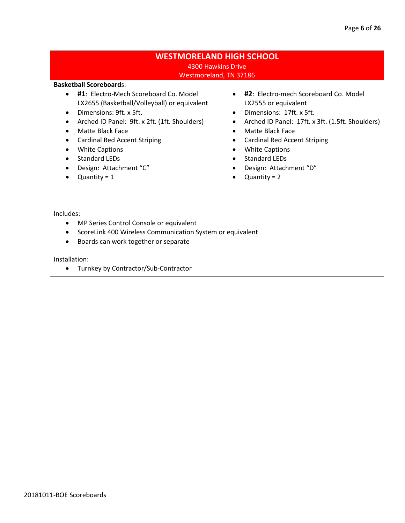### **WESTMORELAND HIGH SCHOOL** 4300 Hawkins Drive

## Westmoreland, TN 37186

#### **Basketball Scoreboard**s:

- **#1**: Electro-Mech Scoreboard Co. Model LX2655 (Basketball/Volleyball) or equivalent
- Dimensions: 9ft. x 5ft.
- Arched ID Panel: 9ft. x 2ft. (1ft. Shoulders)
- Matte Black Face
- Cardinal Red Accent Striping
- White Captions
- Standard LEDs
- Design: Attachment "C"
- $\bullet$  Quantity = 1
- **#2**: Electro-mech Scoreboard Co. Model LX2555 or equivalent
- Dimensions: 17ft. x 5ft.
- Arched ID Panel: 17ft. x 3ft. (1.5ft. Shoulders)
- Matte Black Face
- Cardinal Red Accent Striping
- White Captions
- Standard LEDs
- Design: Attachment "D"
- $\bullet$  Quantity = 2

Includes:

- MP Series Control Console or equivalent
- ScoreLink 400 Wireless Communication System or equivalent
- Boards can work together or separate

#### Installation:

• Turnkey by Contractor/Sub-Contractor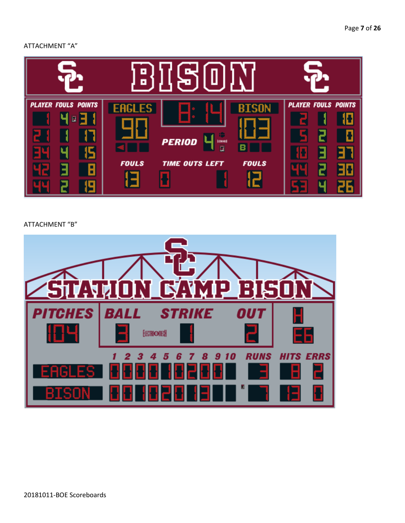#### ATTACHMENT "A"



#### ATTACHMENT "B"

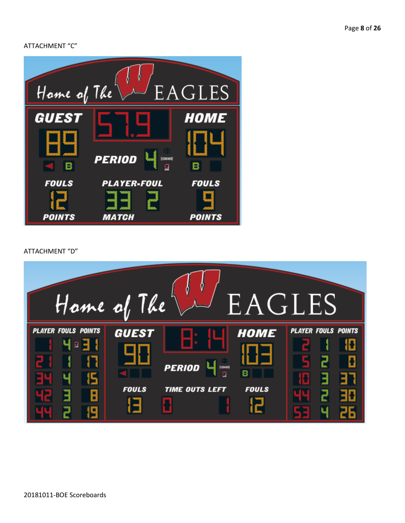ATTACHMENT "C"



ATTACHMENT "D"

| Hame of The                                 |                              |                                                             | EAGLES                           |                                 |  |
|---------------------------------------------|------------------------------|-------------------------------------------------------------|----------------------------------|---------------------------------|--|
| <b>PLAYER FOULS POINTS</b><br>Ч<br>교 국<br>R | <b>GUEST</b><br><b>FOULS</b> | <b>PERIOD</b><br><b>ERORS</b><br>g<br><b>TIME OUTS LEFT</b> | <b>HOME</b><br>в<br><b>FOULS</b> | <b>PLAYER FOULS POINTS</b><br>H |  |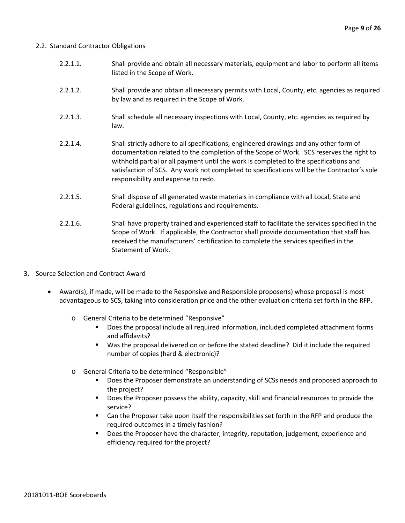#### 2.2. Standard Contractor Obligations

- 2.2.1.1. Shall provide and obtain all necessary materials, equipment and labor to perform all items listed in the Scope of Work.
- 2.2.1.2. Shall provide and obtain all necessary permits with Local, County, etc. agencies as required by law and as required in the Scope of Work.
- 2.2.1.3. Shall schedule all necessary inspections with Local, County, etc. agencies as required by law.
- 2.2.1.4. Shall strictly adhere to all specifications, engineered drawings and any other form of documentation related to the completion of the Scope of Work. SCS reserves the right to withhold partial or all payment until the work is completed to the specifications and satisfaction of SCS. Any work not completed to specifications will be the Contractor's sole responsibility and expense to redo.
- 2.2.1.5. Shall dispose of all generated waste materials in compliance with all Local, State and Federal guidelines, regulations and requirements.
- 2.2.1.6. Shall have property trained and experienced staff to facilitate the services specified in the Scope of Work. If applicable, the Contractor shall provide documentation that staff has received the manufacturers' certification to complete the services specified in the Statement of Work.
- 3. Source Selection and Contract Award
	- Award(s), if made, will be made to the Responsive and Responsible proposer(s) whose proposal is most advantageous to SCS, taking into consideration price and the other evaluation criteria set forth in the RFP.
		- o General Criteria to be determined "Responsive"
			- Does the proposal include all required information, included completed attachment forms and affidavits?
			- Was the proposal delivered on or before the stated deadline? Did it include the required number of copies (hard & electronic)?
		- o General Criteria to be determined "Responsible"
			- Does the Proposer demonstrate an understanding of SCSs needs and proposed approach to the project?
			- **Does the Proposer possess the ability, capacity, skill and financial resources to provide the** service?
			- Can the Proposer take upon itself the responsibilities set forth in the RFP and produce the required outcomes in a timely fashion?
			- **Does the Proposer have the character, integrity, reputation, judgement, experience and** efficiency required for the project?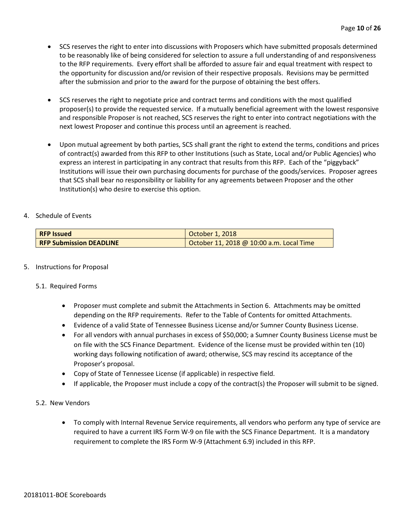- SCS reserves the right to enter into discussions with Proposers which have submitted proposals determined to be reasonably like of being considered for selection to assure a full understanding of and responsiveness to the RFP requirements. Every effort shall be afforded to assure fair and equal treatment with respect to the opportunity for discussion and/or revision of their respective proposals. Revisions may be permitted after the submission and prior to the award for the purpose of obtaining the best offers.
- SCS reserves the right to negotiate price and contract terms and conditions with the most qualified proposer(s) to provide the requested service. If a mutually beneficial agreement with the lowest responsive and responsible Proposer is not reached, SCS reserves the right to enter into contract negotiations with the next lowest Proposer and continue this process until an agreement is reached.
- Upon mutual agreement by both parties, SCS shall grant the right to extend the terms, conditions and prices of contract(s) awarded from this RFP to other Institutions (such as State, Local and/or Public Agencies) who express an interest in participating in any contract that results from this RFP. Each of the "piggyback" Institutions will issue their own purchasing documents for purchase of the goods/services. Proposer agrees that SCS shall bear no responsibility or liability for any agreements between Proposer and the other Institution(s) who desire to exercise this option.

#### 4. Schedule of Events

| <b>RFP Issued</b>              | October 1, 2018                          |
|--------------------------------|------------------------------------------|
| <b>RFP Submission DEADLINE</b> | October 11, 2018 @ 10:00 a.m. Local Time |

#### 5. Instructions for Proposal

#### 5.1. Required Forms

- Proposer must complete and submit the Attachments in Section 6. Attachments may be omitted depending on the RFP requirements. Refer to the Table of Contents for omitted Attachments.
- Evidence of a valid State of Tennessee Business License and/or Sumner County Business License.
- For all vendors with annual purchases in excess of \$50,000; a Sumner County Business License must be on file with the SCS Finance Department. Evidence of the license must be provided within ten (10) working days following notification of award; otherwise, SCS may rescind its acceptance of the Proposer's proposal.
- Copy of State of Tennessee License (if applicable) in respective field.
- If applicable, the Proposer must include a copy of the contract(s) the Proposer will submit to be signed.

#### 5.2. New Vendors

• To comply with Internal Revenue Service requirements, all vendors who perform any type of service are required to have a current IRS Form W-9 on file with the SCS Finance Department. It is a mandatory requirement to complete the IRS Form W-9 (Attachment 6.9) included in this RFP.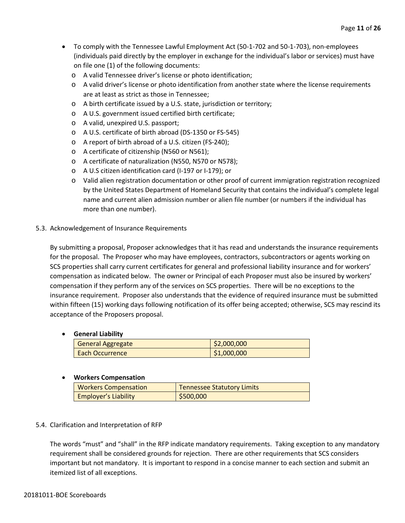- To comply with the Tennessee Lawful Employment Act (50-1-702 and 50-1-703), non-employees (individuals paid directly by the employer in exchange for the individual's labor or services) must have on file one (1) of the following documents:
	- o A valid Tennessee driver's license or photo identification;
	- o A valid driver's license or photo identification from another state where the license requirements are at least as strict as those in Tennessee;
	- o A birth certificate issued by a U.S. state, jurisdiction or territory;
	- o A U.S. government issued certified birth certificate;
	- o A valid, unexpired U.S. passport;
	- o A U.S. certificate of birth abroad (DS-1350 or FS-545)
	- o A report of birth abroad of a U.S. citizen (FS-240);
	- o A certificate of citizenship (N560 or N561);
	- o A certificate of naturalization (N550, N570 or N578);
	- o A U.S citizen identification card (I-197 or I-179); or
	- o Valid alien registration documentation or other proof of current immigration registration recognized by the United States Department of Homeland Security that contains the individual's complete legal name and current alien admission number or alien file number (or numbers if the individual has more than one number).

#### 5.3. Acknowledgement of Insurance Requirements

By submitting a proposal, Proposer acknowledges that it has read and understands the insurance requirements for the proposal. The Proposer who may have employees, contractors, subcontractors or agents working on SCS properties shall carry current certificates for general and professional liability insurance and for workers' compensation as indicated below. The owner or Principal of each Proposer must also be insured by workers' compensation if they perform any of the services on SCS properties. There will be no exceptions to the insurance requirement. Proposer also understands that the evidence of required insurance must be submitted within fifteen (15) working days following notification of its offer being accepted; otherwise, SCS may rescind its acceptance of the Proposers proposal.

#### • **General Liability**

| <b>General Aggregate</b> | \$2,000,000 |
|--------------------------|-------------|
| Each Occurrence          | \$1,000,000 |

#### • **Workers Compensation**

| <b>Workers Compensation</b> | <b>Tennessee Statutory Limits</b> |
|-----------------------------|-----------------------------------|
| <b>Employer's Liability</b> | \$500,000                         |

#### 5.4. Clarification and Interpretation of RFP

The words "must" and "shall" in the RFP indicate mandatory requirements. Taking exception to any mandatory requirement shall be considered grounds for rejection. There are other requirements that SCS considers important but not mandatory. It is important to respond in a concise manner to each section and submit an itemized list of all exceptions.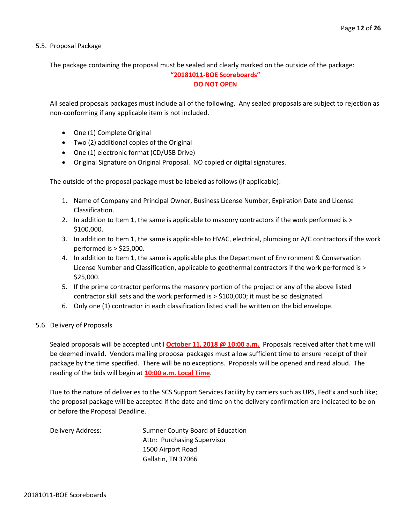5.5. Proposal Package

The package containing the proposal must be sealed and clearly marked on the outside of the package:

#### **"20181011-BOE Scoreboards" DO NOT OPEN**

All sealed proposals packages must include all of the following. Any sealed proposals are subject to rejection as non-conforming if any applicable item is not included.

- One (1) Complete Original
- Two (2) additional copies of the Original
- One (1) electronic format (CD/USB Drive)
- Original Signature on Original Proposal. NO copied or digital signatures.

The outside of the proposal package must be labeled as follows (if applicable):

- 1. Name of Company and Principal Owner, Business License Number, Expiration Date and License Classification.
- 2. In addition to Item 1, the same is applicable to masonry contractors if the work performed is > \$100,000.
- 3. In addition to Item 1, the same is applicable to HVAC, electrical, plumbing or A/C contractors if the work performed is > \$25,000.
- 4. In addition to Item 1, the same is applicable plus the Department of Environment & Conservation License Number and Classification, applicable to geothermal contractors if the work performed is > \$25,000.
- 5. If the prime contractor performs the masonry portion of the project or any of the above listed contractor skill sets and the work performed is > \$100,000; it must be so designated.
- 6. Only one (1) contractor in each classification listed shall be written on the bid envelope.

#### 5.6. Delivery of Proposals

Sealed proposals will be accepted until **October 11, 2018 @ 10:00 a.m.** Proposals received after that time will be deemed invalid. Vendors mailing proposal packages must allow sufficient time to ensure receipt of their package by the time specified. There will be no exceptions. Proposals will be opened and read aloud. The reading of the bids will begin at **10:00 a.m. Local Time**.

Due to the nature of deliveries to the SCS Support Services Facility by carriers such as UPS, FedEx and such like; the proposal package will be accepted if the date and time on the delivery confirmation are indicated to be on or before the Proposal Deadline.

Delivery Address: Sumner County Board of Education Attn: Purchasing Supervisor 1500 Airport Road Gallatin, TN 37066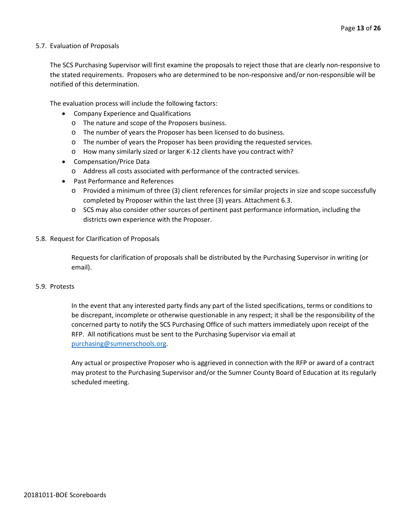#### 5.7. Evaluation of Proposals

The SCS Purchasing Supervisor will first examine the proposals to reject those that are clearly non-responsive to the stated requirements. Proposers who are determined to be non-responsive and/or non-responsible will be notified of this determination.

The evaluation process will include the following factors:

- Company Experience and Qualifications
	- o The nature and scope of the Proposers business.
	- o The number of years the Proposer has been licensed to do business.
	- o The number of years the Proposer has been providing the requested services.
	- o How many similarly sized or larger K-12 clients have you contract with?
- Compensation/Price Data
	- o Address all costs associated with performance of the contracted services.
- Past Performance and References
	- o Provided a minimum of three (3) client references for similar projects in size and scope successfully completed by Proposer within the last three (3) years. Attachment 6.3.
	- o SCS may also consider other sources of pertinent past performance information, including the districts own experience with the Proposer.
- 5.8. Request for Clarification of Proposals

Requests for clarification of proposals shall be distributed by the Purchasing Supervisor in writing (or email).

#### 5.9. Protests

In the event that any interested party finds any part of the listed specifications, terms or conditions to be discrepant, incomplete or otherwise questionable in any respect; it shall be the responsibility of the concerned party to notify the SCS Purchasing Office of such matters immediately upon receipt of the RFP. All notifications must be sent to the Purchasing Supervisor via email at [purchasing@sumnerschools.org.](mailto:purchasing@sumnerschools.org)

Any actual or prospective Proposer who is aggrieved in connection with the RFP or award of a contract may protest to the Purchasing Supervisor and/or the Sumner County Board of Education at its regularly scheduled meeting.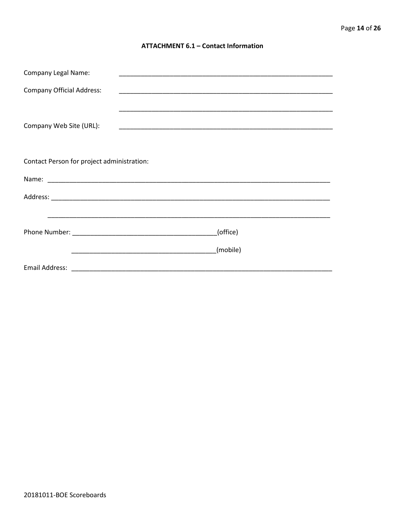#### **ATTACHMENT 6.1 - Contact Information**

| <b>Company Legal Name:</b>                 |          |
|--------------------------------------------|----------|
| <b>Company Official Address:</b>           |          |
|                                            |          |
| Company Web Site (URL):                    |          |
|                                            |          |
| Contact Person for project administration: |          |
|                                            |          |
|                                            |          |
|                                            |          |
|                                            | (office) |
|                                            | (mobile) |
|                                            |          |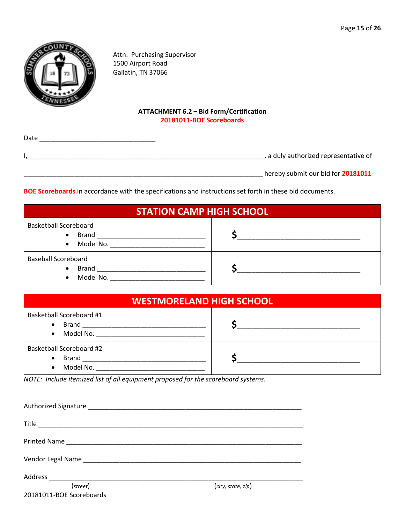

Attn: Purchasing Supervisor 1500 Airport Road Gallatin, TN 37066

#### **ATTACHMENT 6.2 – Bid Form/Certification 20181011-BOE Scoreboards**

| Date |                                       |
|------|---------------------------------------|
|      | , a duly authorized representative of |
|      | hereby submit our bid for 20181011-   |

**BOE Scoreboards** in accordance with the specifications and instructions set forth in these bid documents.

| <b>STATION CAMP HIGH SCHOOL</b>                                      |  |  |
|----------------------------------------------------------------------|--|--|
| <b>Basketball Scoreboard</b><br>$\bullet$<br>Model No.<br>$\bullet$  |  |  |
| <b>Baseball Scoreboard</b><br><b>Brand</b><br>$\bullet$<br>Model No. |  |  |

| <b>WESTMORELAND HIGH SCHOOL</b>                                                  |  |  |
|----------------------------------------------------------------------------------|--|--|
| Basketball Scoreboard #1<br>Brand ____________________<br>$\bullet$<br>$\bullet$ |  |  |
| Basketball Scoreboard #2<br>$\bullet$<br>Model No.<br>$\bullet$                  |  |  |

*NOTE: Include itemized list of all equipment proposed for the scoreboard systems.*

| (street)                 | (city, state, zip) |
|--------------------------|--------------------|
| 20181011-BOE Scoreboards |                    |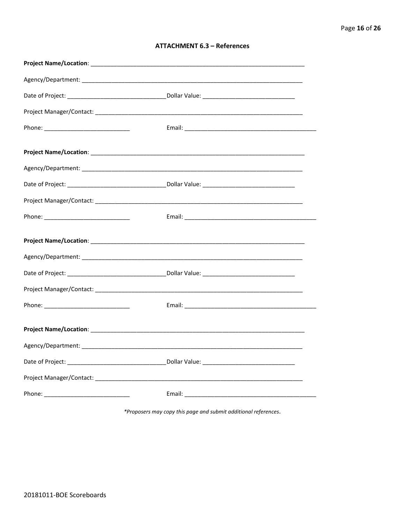| <b>ATTACHMENT 6.3 - References</b> |  |  |
|------------------------------------|--|--|
|------------------------------------|--|--|

\*Proposers may copy this page and submit additional references.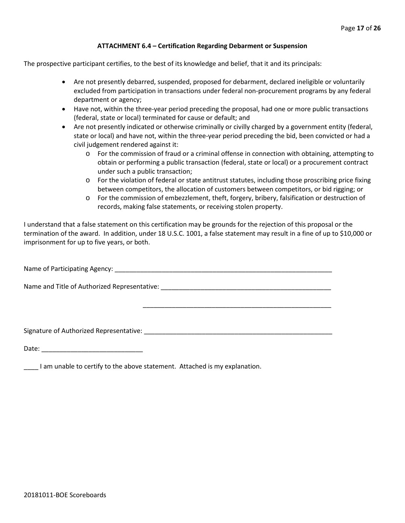#### **ATTACHMENT 6.4 – Certification Regarding Debarment or Suspension**

The prospective participant certifies, to the best of its knowledge and belief, that it and its principals:

- Are not presently debarred, suspended, proposed for debarment, declared ineligible or voluntarily excluded from participation in transactions under federal non-procurement programs by any federal department or agency;
- Have not, within the three-year period preceding the proposal, had one or more public transactions (federal, state or local) terminated for cause or default; and
- Are not presently indicated or otherwise criminally or civilly charged by a government entity (federal, state or local) and have not, within the three-year period preceding the bid, been convicted or had a civil judgement rendered against it:
	- o For the commission of fraud or a criminal offense in connection with obtaining, attempting to obtain or performing a public transaction (federal, state or local) or a procurement contract under such a public transaction;
	- o For the violation of federal or state antitrust statutes, including those proscribing price fixing between competitors, the allocation of customers between competitors, or bid rigging; or
	- o For the commission of embezzlement, theft, forgery, bribery, falsification or destruction of records, making false statements, or receiving stolen property.

\_\_\_\_\_\_\_\_\_\_\_\_\_\_\_\_\_\_\_\_\_\_\_\_\_\_\_\_\_\_\_\_\_\_\_\_\_\_\_\_\_\_\_\_\_\_\_\_\_\_\_\_

I understand that a false statement on this certification may be grounds for the rejection of this proposal or the termination of the award. In addition, under 18 U.S.C. 1001, a false statement may result in a fine of up to \$10,000 or imprisonment for up to five years, or both.

Name of Participating Agency: \_\_\_\_\_\_\_\_\_\_\_\_\_\_\_\_\_\_\_\_\_\_\_\_\_\_\_\_\_\_\_\_\_\_\_\_\_\_\_\_\_\_\_\_\_\_\_\_\_\_\_\_\_\_\_\_\_\_\_\_

Name and Title of Authorized Representative: \_\_\_\_\_\_\_\_\_\_\_\_\_\_\_\_\_\_\_\_\_\_\_\_\_\_\_\_\_\_\_\_\_\_\_\_\_\_\_\_\_\_\_\_\_\_\_

Signature of Authorized Representative: \_\_\_\_\_\_\_\_\_\_\_\_\_\_\_\_\_\_\_\_\_\_\_\_\_\_\_\_\_\_\_\_\_\_\_\_\_\_\_\_\_\_\_\_\_\_\_\_\_\_\_\_

Date: \_\_\_\_\_\_\_\_\_\_\_\_\_\_\_\_\_\_\_\_\_\_\_\_\_\_\_\_

\_\_\_\_ I am unable to certify to the above statement. Attached is my explanation.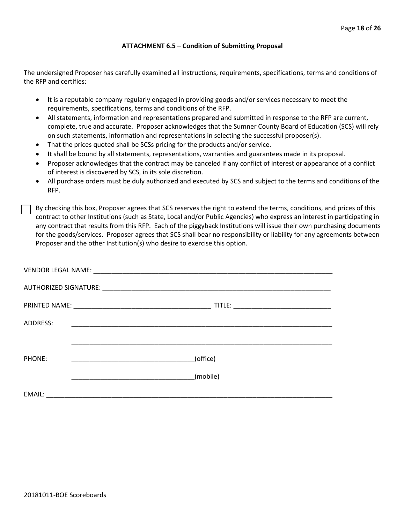#### **ATTACHMENT 6.5 – Condition of Submitting Proposal**

The undersigned Proposer has carefully examined all instructions, requirements, specifications, terms and conditions of the RFP and certifies:

- It is a reputable company regularly engaged in providing goods and/or services necessary to meet the requirements, specifications, terms and conditions of the RFP.
- All statements, information and representations prepared and submitted in response to the RFP are current, complete, true and accurate. Proposer acknowledges that the Sumner County Board of Education (SCS) will rely on such statements, information and representations in selecting the successful proposer(s).
- That the prices quoted shall be SCSs pricing for the products and/or service.
- It shall be bound by all statements, representations, warranties and guarantees made in its proposal.
- Proposer acknowledges that the contract may be canceled if any conflict of interest or appearance of a conflict of interest is discovered by SCS, in its sole discretion.
- All purchase orders must be duly authorized and executed by SCS and subject to the terms and conditions of the RFP.

By checking this box, Proposer agrees that SCS reserves the right to extend the terms, conditions, and prices of this contract to other Institutions (such as State, Local and/or Public Agencies) who express an interest in participating in any contract that results from this RFP. Each of the piggyback Institutions will issue their own purchasing documents for the goods/services. Proposer agrees that SCS shall bear no responsibility or liability for any agreements between Proposer and the other Institution(s) who desire to exercise this option.

| ADDRESS: | <u> 1989 - Johann John Stein, markin fan it ferstjer fan de ferstjer fan it ferstjer fan it ferstjer fan it fers</u> |
|----------|----------------------------------------------------------------------------------------------------------------------|
|          |                                                                                                                      |
| PHONE:   | (office)                                                                                                             |
|          | (mobile)                                                                                                             |
| EMAIL:   | <u> 2000 - Jan Barnett, mars et al. 1999 - Ann an Indian Amerikaanse kommunister (</u>                               |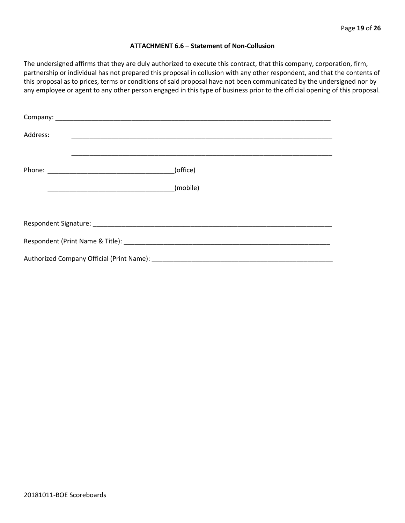#### **ATTACHMENT 6.6 – Statement of Non-Collusion**

The undersigned affirms that they are duly authorized to execute this contract, that this company, corporation, firm, partnership or individual has not prepared this proposal in collusion with any other respondent, and that the contents of this proposal as to prices, terms or conditions of said proposal have not been communicated by the undersigned nor by any employee or agent to any other person engaged in this type of business prior to the official opening of this proposal.

| Address: |          |
|----------|----------|
|          | (office) |
|          |          |
|          |          |
|          |          |
|          |          |
|          |          |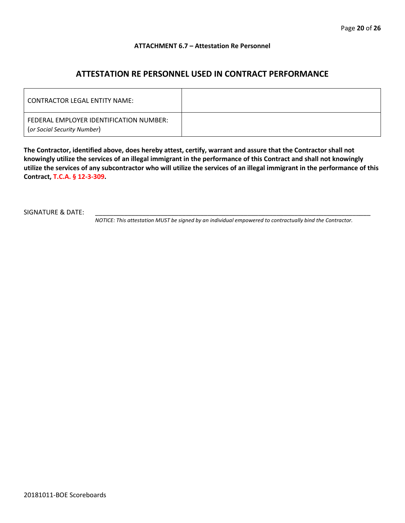#### **ATTACHMENT 6.7 – Attestation Re Personnel**

## **ATTESTATION RE PERSONNEL USED IN CONTRACT PERFORMANCE**

| CONTRACTOR LEGAL ENTITY NAME:                                          |  |
|------------------------------------------------------------------------|--|
| FEDERAL EMPLOYER IDENTIFICATION NUMBER:<br>(or Social Security Number) |  |

**The Contractor, identified above, does hereby attest, certify, warrant and assure that the Contractor shall not knowingly utilize the services of an illegal immigrant in the performance of this Contract and shall not knowingly utilize the services of any subcontractor who will utilize the services of an illegal immigrant in the performance of this Contract, T.C.A. § 12-3-309.**

SIGNATURE & DATE:

*NOTICE: This attestation MUST be signed by an individual empowered to contractually bind the Contractor.*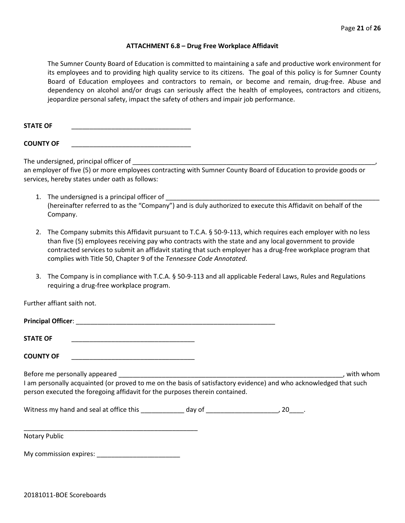#### **ATTACHMENT 6.8 – Drug Free Workplace Affidavit**

The Sumner County Board of Education is committed to maintaining a safe and productive work environment for its employees and to providing high quality service to its citizens. The goal of this policy is for Sumner County Board of Education employees and contractors to remain, or become and remain, drug-free. Abuse and dependency on alcohol and/or drugs can seriously affect the health of employees, contractors and citizens, jeopardize personal safety, impact the safety of others and impair job performance.

**STATE OF** \_\_\_\_\_\_\_\_\_\_\_\_\_\_\_\_\_\_\_\_\_\_\_\_\_\_\_\_\_\_\_\_\_

**COUNTY OF** \_\_\_\_\_\_\_\_\_\_\_\_\_\_\_\_\_\_\_\_\_\_\_\_\_\_\_\_\_\_\_\_\_

The undersigned, principal officer of

an employer of five (5) or more employees contracting with Sumner County Board of Education to provide goods or services, hereby states under oath as follows:

- 1. The undersigned is a principal officer of (hereinafter referred to as the "Company") and is duly authorized to execute this Affidavit on behalf of the Company.
- 2. The Company submits this Affidavit pursuant to T.C.A. § 50-9-113, which requires each employer with no less than five (5) employees receiving pay who contracts with the state and any local government to provide contracted services to submit an affidavit stating that such employer has a drug-free workplace program that complies with Title 50, Chapter 9 of the *Tennessee Code Annotated*.
- 3. The Company is in compliance with T.C.A. § 50-9-113 and all applicable Federal Laws, Rules and Regulations requiring a drug-free workplace program.

Further affiant saith not.

| <b>STATE OF</b>                                                                                                                                                                                                                                                                                                                                                                                                                   |  |           |
|-----------------------------------------------------------------------------------------------------------------------------------------------------------------------------------------------------------------------------------------------------------------------------------------------------------------------------------------------------------------------------------------------------------------------------------|--|-----------|
| <b>COUNTY OF</b>                                                                                                                                                                                                                                                                                                                                                                                                                  |  |           |
| Before me personally appeared expansion of the state of the state of the state of the state of the state of the state of the state of the state of the state of the state of the state of the state of the state of the state<br>I am personally acquainted (or proved to me on the basis of satisfactory evidence) and who acknowledged that such<br>person executed the foregoing affidavit for the purposes therein contained. |  | with whom |
|                                                                                                                                                                                                                                                                                                                                                                                                                                   |  |           |
| <b>Notary Public</b>                                                                                                                                                                                                                                                                                                                                                                                                              |  |           |

My commission expires: \_\_\_\_\_\_\_\_\_\_\_\_\_\_\_\_\_\_\_\_\_\_\_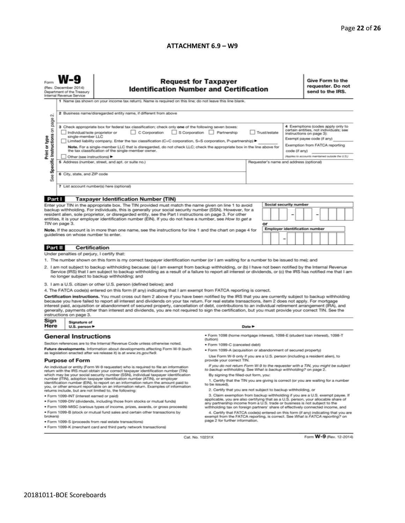#### **ATTACHMENT 6.9 – W9**

| (Rev. December 2014)<br><b>Identification Number and Certification</b><br>Department of the Treasury<br>Internal Revenue Service<br>1 Name (as shown on your income tax return). Name is required on this line; do not leave this line blank.<br>2 Business name/disregarded entity name, if different from above<br>N                                                                                                                                                                                                                                                                                                                                                                                                                                                                                                                                                                                                                                                                                                                                                                                                                                                                                                                                                                                                                                                                                                                                                                                                                                                                                                                                                                                                                                                                                                                                                                                                                             | requester. Do not<br>send to the IRS. |
|----------------------------------------------------------------------------------------------------------------------------------------------------------------------------------------------------------------------------------------------------------------------------------------------------------------------------------------------------------------------------------------------------------------------------------------------------------------------------------------------------------------------------------------------------------------------------------------------------------------------------------------------------------------------------------------------------------------------------------------------------------------------------------------------------------------------------------------------------------------------------------------------------------------------------------------------------------------------------------------------------------------------------------------------------------------------------------------------------------------------------------------------------------------------------------------------------------------------------------------------------------------------------------------------------------------------------------------------------------------------------------------------------------------------------------------------------------------------------------------------------------------------------------------------------------------------------------------------------------------------------------------------------------------------------------------------------------------------------------------------------------------------------------------------------------------------------------------------------------------------------------------------------------------------------------------------------|---------------------------------------|
| Specific Instructions on page<br>4 Exemptions (codes apply only to<br>3 Check appropriate box for federal tax classification; check only one of the following seven boxes:<br>certain entities, not individuals; see<br>C Corporation<br>S Corporation Partnership<br>Trust/estate<br>Individual/sole proprietor or<br>instructions on page 3):<br>single-member LLC<br>Print or type<br>Exempt payee code (if any)<br>Limited liability company. Enter the tax classification (C=C corporation, S=S corporation, P=partnership) ▶<br>Exemption from FATCA reporting<br>Note. For a single-member LLC that is disregarded, do not check LLC; check the appropriate box in the line above for<br>the tax classification of the single-member owner.<br>code (if any)<br>(Applies to accounts maintained outside the U.S.)<br>Other (see instructions) ▶<br>5 Address (number, street, and apt. or suite no.)<br>Requester's name and address (optional)<br>6 City, state, and ZIP code<br>See<br>7 List account number(s) here (optional)                                                                                                                                                                                                                                                                                                                                                                                                                                                                                                                                                                                                                                                                                                                                                                                                                                                                                                           |                                       |
|                                                                                                                                                                                                                                                                                                                                                                                                                                                                                                                                                                                                                                                                                                                                                                                                                                                                                                                                                                                                                                                                                                                                                                                                                                                                                                                                                                                                                                                                                                                                                                                                                                                                                                                                                                                                                                                                                                                                                    |                                       |
| Part I<br><b>Taxpayer Identification Number (TIN)</b><br>Social security number<br>Enter your TIN in the appropriate box. The TIN provided must match the name given on line 1 to avoid<br>backup withholding. For individuals, this is generally your social security number (SSN). However, for a<br>resident alien, sole proprietor, or disregarded entity, see the Part I instructions on page 3. For other<br>entities, it is your employer identification number (EIN). If you do not have a number, see How to get a<br>TIN on page 3.<br>or<br>Employer identification number<br>Note. If the account is in more than one name, see the instructions for line 1 and the chart on page 4 for<br>guidelines on whose number to enter.<br>-                                                                                                                                                                                                                                                                                                                                                                                                                                                                                                                                                                                                                                                                                                                                                                                                                                                                                                                                                                                                                                                                                                                                                                                                   |                                       |
|                                                                                                                                                                                                                                                                                                                                                                                                                                                                                                                                                                                                                                                                                                                                                                                                                                                                                                                                                                                                                                                                                                                                                                                                                                                                                                                                                                                                                                                                                                                                                                                                                                                                                                                                                                                                                                                                                                                                                    |                                       |
| <b>Certification</b><br>Part II<br>Under penalties of perjury, I certify that:                                                                                                                                                                                                                                                                                                                                                                                                                                                                                                                                                                                                                                                                                                                                                                                                                                                                                                                                                                                                                                                                                                                                                                                                                                                                                                                                                                                                                                                                                                                                                                                                                                                                                                                                                                                                                                                                     |                                       |
| 1. The number shown on this form is my correct taxpayer identification number (or I am waiting for a number to be issued to me); and<br>2. I am not subject to backup withholding because: (a) I am exempt from backup withholding, or (b) I have not been notified by the Internal Revenue<br>Service (IRS) that I am subject to backup withholding as a result of a failure to report all interest or dividends, or (c) the IRS has notified me that I am<br>no longer subject to backup withholding; and<br>3. I am a U.S. citizen or other U.S. person (defined below); and<br>4. The FATCA code(s) entered on this form (if any) indicating that I am exempt from FATCA reporting is correct.<br>Certification instructions. You must cross out item 2 above if you have been notified by the IRS that you are currently subject to backup withholding<br>because you have failed to report all interest and dividends on your tax return. For real estate transactions, item 2 does not apply. For mortgage<br>interest paid, acquisition or abandonment of secured property, cancellation of debt, contributions to an individual retirement arrangement (IRA), and<br>generally, payments other than interest and dividends, you are not required to sign the certification, but you must provide your correct TIN. See the<br>instructions on page 3.                                                                                                                                                                                                                                                                                                                                                                                                                                                                                                                                                                                     |                                       |
| Sign<br>Signature of                                                                                                                                                                                                                                                                                                                                                                                                                                                                                                                                                                                                                                                                                                                                                                                                                                                                                                                                                                                                                                                                                                                                                                                                                                                                                                                                                                                                                                                                                                                                                                                                                                                                                                                                                                                                                                                                                                                               |                                       |
| Here<br>U.S. person ▶<br>Date P<br>· Form 1098 (home mortgage interest), 1098-E (student Ioan interest), 1098-T<br><b>General Instructions</b>                                                                                                                                                                                                                                                                                                                                                                                                                                                                                                                                                                                                                                                                                                                                                                                                                                                                                                                                                                                                                                                                                                                                                                                                                                                                                                                                                                                                                                                                                                                                                                                                                                                                                                                                                                                                     |                                       |
| (tuition)<br>Section references are to the Internal Revenue Code unless otherwise noted.<br>• Form 1099-C (canceled debt)<br>Future developments. Information about developments affecting Form W-9 (such<br>. Form 1099-A (acquisition or abandonment of secured property)<br>as legislation enacted after we release it) is at www.irs.gov/fw9.<br>Use Form W-9 only if you are a U.S. person (including a resident alien), to<br>provide your correct TIN.<br><b>Purpose of Form</b>                                                                                                                                                                                                                                                                                                                                                                                                                                                                                                                                                                                                                                                                                                                                                                                                                                                                                                                                                                                                                                                                                                                                                                                                                                                                                                                                                                                                                                                            |                                       |
| If you do not return Form W-9 to the requester with a TIN, you might be subject<br>An individual or entity (Form W-9 requester) who is required to file an information<br>to backup withholding. See What is backup withholding? on page 2.<br>return with the IRS must obtain your correct taxpayer identification number (TIN)<br>which may be your social security number (SSN), individual taxpayer identification<br>By signing the filled-out form, you:<br>number (ITIN), adoption taxpayer identification number (ATIN), or employer<br>1. Certify that the TIN you are giving is correct (or you are waiting for a number<br>identification number (EIN), to report on an information return the amount paid to<br>to be issued).<br>you, or other amount reportable on an information return. Examples of information<br>2. Certify that you are not subject to backup withholding, or<br>returns include, but are not limited to, the following:<br>3. Claim exemption from backup withholding if you are a U.S. exempt payee. If<br>· Form 1099-INT (interest earned or paid)<br>applicable, you are also certifying that as a U.S. person, your allocable share of<br>. Form 1099-DIV (dividends, including those from stocks or mutual funds)<br>any partnership income from a U.S. trade or business is not subject to the<br>* Form 1099-MISC (various types of income, prizes, awards, or gross proceeds)<br>withholding tax on foreign partners' share of effectively connected income, and<br>. Form 1099-B (stock or mutual fund sales and certain other transactions by<br>4. Certify that FATCA code(s) entered on this form (if any) indicating that you are<br>brokers)<br>exempt from the FATCA reporting, is correct. See What is FATCA reporting? on<br>page 2 for further information.<br>· Form 1099-S (proceeds from real estate transactions)<br>. Form 1099-K (merchant card and third party network transactions) |                                       |

Cat. No. 10231X

Form **W-9** (Rev. 12-2014)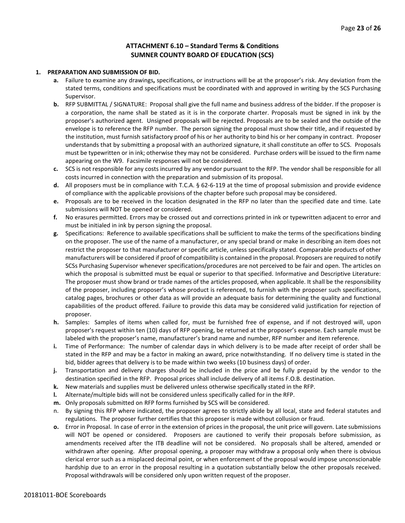#### **ATTACHMENT 6.10 – Standard Terms & Conditions SUMNER COUNTY BOARD OF EDUCATION (SCS)**

#### **1. PREPARATION AND SUBMISSION OF BID.**

- **a.** Failure to examine any drawings**,** specifications, or instructions will be at the proposer's risk. Any deviation from the stated terms, conditions and specifications must be coordinated with and approved in writing by the SCS Purchasing Supervisor.
- **b.** RFP SUBMITTAL / SIGNATURE: Proposal shall give the full name and business address of the bidder. If the proposer is a corporation, the name shall be stated as it is in the corporate charter. Proposals must be signed in ink by the proposer's authorized agent. Unsigned proposals will be rejected. Proposals are to be sealed and the outside of the envelope is to reference the RFP number. The person signing the proposal must show their title, and if requested by the institution, must furnish satisfactory proof of his or her authority to bind his or her company in contract. Proposer understands that by submitting a proposal with an authorized signature, it shall constitute an offer to SCS. Proposals must be typewritten or in ink; otherwise they may not be considered. Purchase orders will be issued to the firm name appearing on the W9. Facsimile responses will not be considered.
- **c.** SCS is not responsible for any costs incurred by any vendor pursuant to the RFP. The vendor shall be responsible for all costs incurred in connection with the preparation and submission of its proposal.
- **d.** All proposers must be in compliance with T.C.A. § 62-6-119 at the time of proposal submission and provide evidence of compliance with the applicable provisions of the chapter before such proposal may be considered.
- **e.** Proposals are to be received in the location designated in the RFP no later than the specified date and time. Late submissions will NOT be opened or considered.
- **f.** No erasures permitted. Errors may be crossed out and corrections printed in ink or typewritten adjacent to error and must be initialed in ink by person signing the proposal.
- **g.** Specifications: Reference to available specifications shall be sufficient to make the terms of the specifications binding on the proposer. The use of the name of a manufacturer, or any special brand or make in describing an item does not restrict the proposer to that manufacturer or specific article, unless specifically stated. Comparable products of other manufacturers will be considered if proof of compatibility is contained in the proposal. Proposers are required to notify SCSs Purchasing Supervisor whenever specifications/procedures are not perceived to be fair and open. The articles on which the proposal is submitted must be equal or superior to that specified. Informative and Descriptive Literature: The proposer must show brand or trade names of the articles proposed, when applicable. It shall be the responsibility of the proposer, including proposer's whose product is referenced, to furnish with the proposer such specifications, catalog pages, brochures or other data as will provide an adequate basis for determining the quality and functional capabilities of the product offered. Failure to provide this data may be considered valid justification for rejection of proposer.
- **h.** Samples: Samples of items when called for, must be furnished free of expense, and if not destroyed will, upon proposer's request within ten (10) days of RFP opening, be returned at the proposer's expense. Each sample must be labeled with the proposer's name, manufacturer's brand name and number, RFP number and item reference.
- **i.** Time of Performance: The number of calendar days in which delivery is to be made after receipt of order shall be stated in the RFP and may be a factor in making an award, price notwithstanding. If no delivery time is stated in the bid, bidder agrees that delivery is to be made within two weeks (10 business days) of order.
- **j.** Transportation and delivery charges should be included in the price and be fully prepaid by the vendor to the destination specified in the RFP. Proposal prices shall include delivery of all items F.O.B. destination.
- **k.** New materials and supplies must be delivered unless otherwise specifically stated in the RFP.
- **l.** Alternate/multiple bids will not be considered unless specifically called for in the RFP.
- **m.** Only proposals submitted on RFP forms furnished by SCS will be considered.
- n. By signing this RFP where indicated, the proposer agrees to strictly abide by all local, state and federal statutes and regulations. The proposer further certifies that this proposer is made without collusion or fraud.
- **o.** Error in Proposal. In case of error in the extension of prices in the proposal, the unit price will govern. Late submissions will NOT be opened or considered. Proposers are cautioned to verify their proposals before submission, as amendments received after the ITB deadline will not be considered. No proposals shall be altered, amended or withdrawn after opening. After proposal opening, a proposer may withdraw a proposal only when there is obvious clerical error such as a misplaced decimal point, or when enforcement of the proposal would impose unconscionable hardship due to an error in the proposal resulting in a quotation substantially below the other proposals received. Proposal withdrawals will be considered only upon written request of the proposer.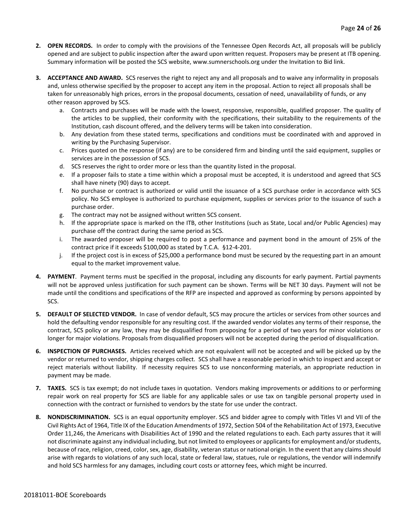- **2. OPEN RECORDS.** In order to comply with the provisions of the Tennessee Open Records Act, all proposals will be publicly opened and are subject to public inspection after the award upon written request. Proposers may be present at ITB opening. Summary information will be posted the SCS website, www.sumnerschools.org under the Invitation to Bid link.
- **3. ACCEPTANCE AND AWARD.** SCS reserves the right to reject any and all proposals and to waive any informality in proposals and, unless otherwise specified by the proposer to accept any item in the proposal. Action to reject all proposals shall be taken for unreasonably high prices, errors in the proposal documents, cessation of need, unavailability of funds, or any other reason approved by SCS.
	- a. Contracts and purchases will be made with the lowest, responsive, responsible, qualified proposer. The quality of the articles to be supplied, their conformity with the specifications, their suitability to the requirements of the Institution, cash discount offered, and the delivery terms will be taken into consideration.
	- b. Any deviation from these stated terms, specifications and conditions must be coordinated with and approved in writing by the Purchasing Supervisor.
	- c. Prices quoted on the response (if any) are to be considered firm and binding until the said equipment, supplies or services are in the possession of SCS.
	- d. SCS reserves the right to order more or less than the quantity listed in the proposal.
	- e. If a proposer fails to state a time within which a proposal must be accepted, it is understood and agreed that SCS shall have ninety (90) days to accept.
	- f. No purchase or contract is authorized or valid until the issuance of a SCS purchase order in accordance with SCS policy. No SCS employee is authorized to purchase equipment, supplies or services prior to the issuance of such a purchase order.
	- g. The contract may not be assigned without written SCS consent.
	- h. If the appropriate space is marked on the ITB, other Institutions (such as State, Local and/or Public Agencies) may purchase off the contract during the same period as SCS.
	- i. The awarded proposer will be required to post a performance and payment bond in the amount of 25% of the contract price if it exceeds \$100,000 as stated by T.C.A. §12-4-201.
	- j. If the project cost is in excess of \$25,000 a performance bond must be secured by the requesting part in an amount equal to the market improvement value.
- **4. PAYMENT**. Payment terms must be specified in the proposal, including any discounts for early payment. Partial payments will not be approved unless justification for such payment can be shown. Terms will be NET 30 days. Payment will not be made until the conditions and specifications of the RFP are inspected and approved as conforming by persons appointed by SCS.
- **5. DEFAULT OF SELECTED VENDOR.** In case of vendor default, SCS may procure the articles or services from other sources and hold the defaulting vendor responsible for any resulting cost. If the awarded vendor violates any terms of their response, the contract, SCS policy or any law, they may be disqualified from proposing for a period of two years for minor violations or longer for major violations. Proposals from disqualified proposers will not be accepted during the period of disqualification.
- **6. INSPECTION OF PURCHASES.** Articles received which are not equivalent will not be accepted and will be picked up by the vendor or returned to vendor, shipping charges collect. SCS shall have a reasonable period in which to inspect and accept or reject materials without liability. If necessity requires SCS to use nonconforming materials, an appropriate reduction in payment may be made.
- **7. TAXES.** SCS is tax exempt; do not include taxes in quotation. Vendors making improvements or additions to or performing repair work on real property for SCS are liable for any applicable sales or use tax on tangible personal property used in connection with the contract or furnished to vendors by the state for use under the contract.
- **8. NONDISCRIMINATION.** SCS is an equal opportunity employer. SCS and bidder agree to comply with Titles VI and VII of the Civil Rights Act of 1964, Title IX of the Education Amendments of 1972, Section 504 of the Rehabilitation Act of 1973, Executive Order 11,246, the Americans with Disabilities Act of 1990 and the related regulations to each. Each party assures that it will not discriminate against any individual including, but not limited to employees or applicants for employment and/or students, because of race, religion, creed, color, sex, age, disability, veteran status or national origin. In the event that any claims should arise with regards to violations of any such local, state or federal law, statues, rule or regulations, the vendor will indemnify and hold SCS harmless for any damages, including court costs or attorney fees, which might be incurred.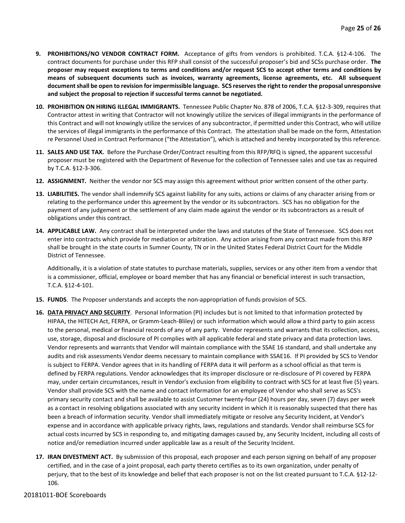- **9. PROHIBITIONS/NO VENDOR CONTRACT FORM.** Acceptance of gifts from vendors is prohibited. T.C.A. §12-4-106. The contract documents for purchase under this RFP shall consist of the successful proposer's bid and SCSs purchase order. **The proposer may request exceptions to terms and conditions and/or request SCS to accept other terms and conditions by means of subsequent documents such as invoices, warranty agreements, license agreements, etc. All subsequent document shall be open to revision for impermissible language. SCS reserves the right to render the proposal unresponsive and subject the proposal to rejection if successful terms cannot be negotiated.**
- **10. PROHIBITION ON HIRING ILLEGAL IMMIGRANTS.** Tennessee Public Chapter No. 878 of 2006, T.C.A. §12-3-309, requires that Contractor attest in writing that Contractor will not knowingly utilize the services of illegal immigrants in the performance of this Contract and will not knowingly utilize the services of any subcontractor, if permitted under this Contract, who will utilize the services of illegal immigrants in the performance of this Contract. The attestation shall be made on the form, Attestation re Personnel Used in Contract Performance ("the Attestation"), which is attached and hereby incorporated by this reference.
- **11. SALES AND USE TAX.** Before the Purchase Order/Contract resulting from this RFP/RFQ is signed, the apparent successful proposer must be registered with the Department of Revenue for the collection of Tennessee sales and use tax as required by T.C.A. §12-3-306.
- **12. ASSIGNMENT.** Neither the vendor nor SCS may assign this agreement without prior written consent of the other party.
- **13. LIABILITIES.** The vendor shall indemnify SCS against liability for any suits, actions or claims of any character arising from or relating to the performance under this agreement by the vendor or its subcontractors. SCS has no obligation for the payment of any judgement or the settlement of any claim made against the vendor or its subcontractors as a result of obligations under this contract.
- **14. APPLICABLE LAW.** Any contract shall be interpreted under the laws and statutes of the State of Tennessee. SCS does not enter into contracts which provide for mediation or arbitration. Any action arising from any contract made from this RFP shall be brought in the state courts in Sumner County, TN or in the United States Federal District Court for the Middle District of Tennessee.

Additionally, it is a violation of state statutes to purchase materials, supplies, services or any other item from a vendor that is a commissioner, official, employee or board member that has any financial or beneficial interest in such transaction, T.C.A. §12-4-101.

- **15. FUNDS**. The Proposer understands and accepts the non-appropriation of funds provision of SCS.
- **16. DATA PRIVACY AND SECURITY**. Personal Information (PI) includes but is not limited to that information protected by HIPAA, the HITECH Act, FERPA, or Gramm-Leach-Bliley) or such information which would allow a third party to gain access to the personal, medical or financial records of any of any party. Vendor represents and warrants that its collection, access, use, storage, disposal and disclosure of PI complies with all applicable federal and state privacy and data protection laws. Vendor represents and warrants that Vendor will maintain compliance with the SSAE 16 standard, and shall undertake any audits and risk assessments Vendor deems necessary to maintain compliance with SSAE16. If PI provided by SCS to Vendor is subject to FERPA. Vendor agrees that in its handling of FERPA data it will perform as a school official as that term is defined by FERPA regulations. Vendor acknowledges that its improper disclosure or re-disclosure of PI covered by FERPA may, under certain circumstances, result in Vendor's exclusion from eligibility to contract with SCS for at least five (5) years. Vendor shall provide SCS with the name and contact information for an employee of Vendor who shall serve as SCS's primary security contact and shall be available to assist Customer twenty-four (24) hours per day, seven (7) days per week as a contact in resolving obligations associated with any security incident in which it is reasonably suspected that there has been a breach of information security. Vendor shall immediately mitigate or resolve any Security Incident, at Vendor's expense and in accordance with applicable privacy rights, laws, regulations and standards. Vendor shall reimburse SCS for actual costs incurred by SCS in responding to, and mitigating damages caused by, any Security Incident, including all costs of notice and/or remediation incurred under applicable law as a result of the Security Incident.
- **17. IRAN DIVESTMENT ACT.** By submission of this proposal, each proposer and each person signing on behalf of any proposer certified, and in the case of a joint proposal, each party thereto certifies as to its own organization, under penalty of perjury, that to the best of its knowledge and belief that each proposer is not on the list created pursuant to T.C.A. §12-12- 106.